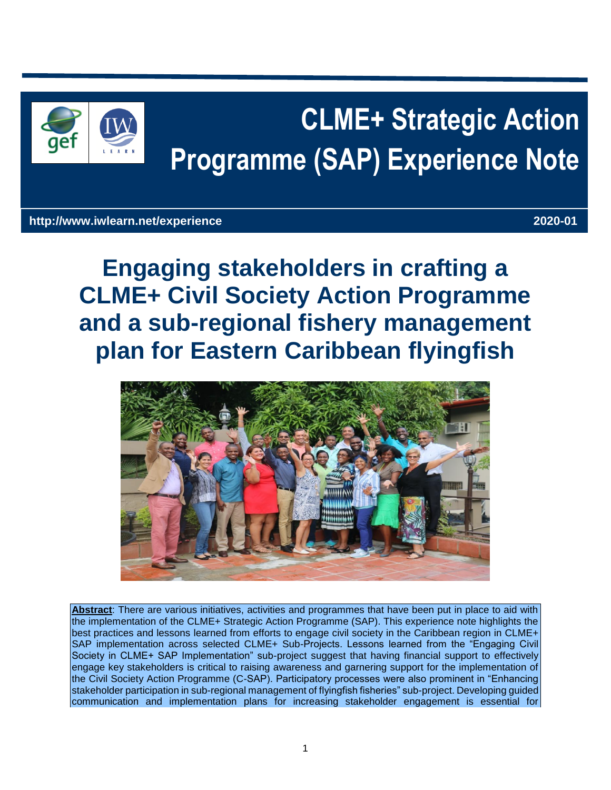

# **CLME+ Strategic Action Programme (SAP) Experience Note**

# **http://www.iwlearn.net/experience 2020-01**

**Engaging stakeholders in crafting a CLME+ Civil Society Action Programme and a sub-regional fishery management plan for Eastern Caribbean flyingfish**



**Abstract**: There are various initiatives, activities and programmes that have been put in place to aid with the implementation of the CLME+ Strategic Action Programme (SAP). This experience note highlights the best practices and lessons learned from efforts to engage civil society in the Caribbean region in CLME+ SAP implementation across selected CLME+ Sub-Projects. Lessons learned from the "Engaging Civil Society in CLME+ SAP Implementation" sub-project suggest that having financial support to effectively engage key stakeholders is critical to raising awareness and garnering support for the implementation of the Civil Society Action Programme (C-SAP). Participatory processes were also prominent in "Enhancing stakeholder participation in sub-regional management of flyingfish fisheries" sub-project. Developing guided communication and implementation plans for increasing stakeholder engagement is essential for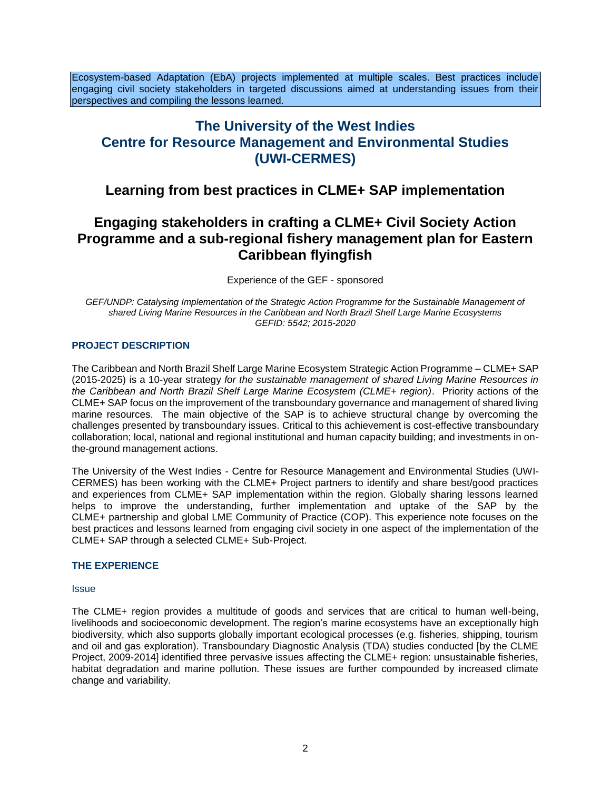Ecosystem-based Adaptation (EbA) projects implemented at multiple scales. Best practices include engaging civil society stakeholders in targeted discussions aimed at understanding issues from their perspectives and compiling the lessons learned.

# **The University of the West Indies Centre for Resource Management and Environmental Studies (UWI-CERMES)**

# **Learning from best practices in CLME+ SAP implementation**

# **Engaging stakeholders in crafting a CLME+ Civil Society Action Programme and a sub-regional fishery management plan for Eastern Caribbean flyingfish**

Experience of the GEF - sponsored

GEF/UNDP: Catalysing Implementation of the Strategic Action Programme for the Sustainable Management of *shared Living Marine Resources in the Caribbean and North Brazil Shelf Large Marine Ecosystems GEFID: 5542; 2015-2020*

#### **PROJECT DESCRIPTION**

The Caribbean and North Brazil Shelf Large Marine Ecosystem Strategic Action Programme – CLME+ SAP (2015-2025) is a 10-year strategy *for the sustainable management of shared Living Marine Resources in the Caribbean and North Brazil Shelf Large Marine Ecosystem (CLME+ region)*. Priority actions of the CLME+ SAP focus on the improvement of the transboundary governance and management of shared living marine resources. The main objective of the SAP is to achieve structural change by overcoming the challenges presented by transboundary issues. Critical to this achievement is cost-effective transboundary collaboration; local, national and regional institutional and human capacity building; and investments in onthe-ground management actions.

The University of the West Indies - Centre for Resource Management and Environmental Studies (UWI-CERMES) has been working with the CLME+ Project partners to identify and share best/good practices and experiences from CLME+ SAP implementation within the region. Globally sharing lessons learned helps to improve the understanding, further implementation and uptake of the SAP by the CLME+ partnership and global LME Community of Practice (COP). This experience note focuses on the best practices and lessons learned from engaging civil society in one aspect of the implementation of the CLME+ SAP through a selected CLME+ Sub-Project.

#### **THE EXPERIENCE**

#### **Issue**

The CLME+ region provides a multitude of goods and services that are critical to human well-being, livelihoods and socioeconomic development. The region's marine ecosystems have an exceptionally high biodiversity, which also supports globally important ecological processes (e.g. fisheries, shipping, tourism and oil and gas exploration). Transboundary Diagnostic Analysis (TDA) studies conducted [by the CLME Project, 2009-2014] identified three pervasive issues affecting the CLME+ region: unsustainable fisheries, habitat degradation and marine pollution. These issues are further compounded by increased climate change and variability.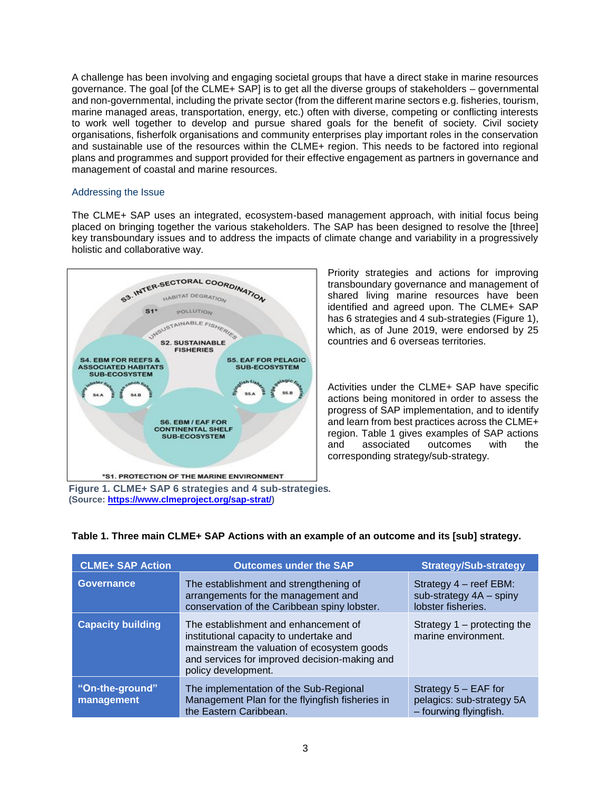A challenge has been involving and engaging societal groups that have a direct stake in marine resources governance. The goal [of the CLME+ SAP] is to get all the diverse groups of stakeholders – governmental and non-governmental, including the private sector (from the different marine sectors e.g. fisheries, tourism, marine managed areas, transportation, energy, etc.) often with diverse, competing or conflicting interests to work well together to develop and pursue shared goals for the benefit of society. Civil society organisations, fisherfolk organisations and community enterprises play important roles in the conservation and sustainable use of the resources within the CLME+ region. This needs to be factored into regional plans and programmes and support provided for their effective engagement as partners in governance and management of coastal and marine resources.

## Addressing the Issue

The CLME+ SAP uses an integrated, ecosystem-based management approach, with initial focus being placed on bringing together the various stakeholders. The SAP has been designed to resolve the [three] key transboundary issues and to address the impacts of climate change and variability in a progressively holistic and collaborative way.



Priority strategies and actions for improving transboundary governance and management of shared living marine resources have been identified and agreed upon. The CLME+ SAP has 6 strategies and 4 sub-strategies (Figure 1), which, as of June 2019, were endorsed by 25 countries and 6 overseas territories.

Activities under the CLME+ SAP have specific actions being monitored in order to assess the progress of SAP implementation, and to identify and learn from best practices across the CLME+ region. Table 1 gives examples of SAP actions and associated outcomes with the corresponding strategy/sub-strategy.

**Figure 1. CLME+ SAP 6 strategies and 4 sub-strategies***.* **(Source: https://www.clmeproject.org/sap-strat/)**

| <b>CLME+ SAP Action</b>       | <b>Outcomes under the SAP</b>                                                                                                                                                                          | <b>Strategy/Sub-strategy</b>                                                  |
|-------------------------------|--------------------------------------------------------------------------------------------------------------------------------------------------------------------------------------------------------|-------------------------------------------------------------------------------|
| <b>Governance</b>             | The establishment and strengthening of<br>arrangements for the management and<br>conservation of the Caribbean spiny lobster.                                                                          | Strategy 4 – reef EBM:<br>sub-strategy 4A - spiny<br>lobster fisheries.       |
| <b>Capacity building</b>      | The establishment and enhancement of<br>institutional capacity to undertake and<br>mainstream the valuation of ecosystem goods<br>and services for improved decision-making and<br>policy development. | Strategy $1$ – protecting the<br>marine environment.                          |
| "On-the-ground"<br>management | The implementation of the Sub-Regional<br>Management Plan for the flyingfish fisheries in<br>the Eastern Caribbean.                                                                                    | Strategy $5 - EAF$ for<br>pelagics: sub-strategy 5A<br>- fourwing flyingfish. |

#### **Table 1. Three main CLME+ SAP Actions with an example of an outcome and its [sub] strategy.**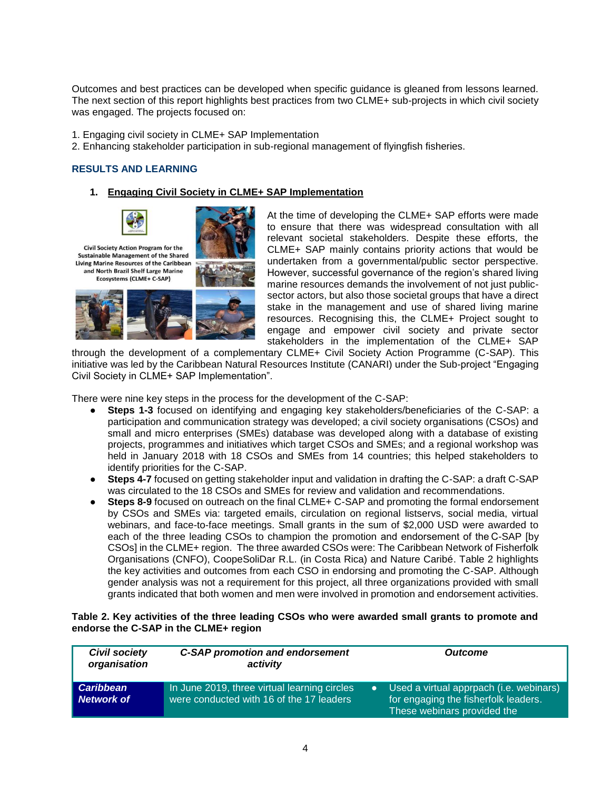Outcomes and best practices can be developed when specific guidance is gleaned from lessons learned. The next section of this report highlights best practices from two CLME+ sub-projects in which civil society was engaged. The projects focused on:

1. Engaging civil society in CLME+ SAP Implementation

2. Enhancing stakeholder participation in sub-regional management of flyingfish fisheries.

#### **RESULTS AND LEARNING**

#### **1. Engaging Civil Society in CLME+ SAP Implementation**



Civil Society Action Program for the **Sustainable Management of the Shared** Living Marine Resources of the Caribbean and North Brazil Shelf Large Marine Ecosystems (CLME+ C-SAP)



At the time of developing the CLME+ SAP efforts were made to ensure that there was widespread consultation with all relevant societal stakeholders. Despite these efforts, the CLME+ SAP mainly contains priority actions that would be undertaken from a governmental/public sector perspective. However, successful governance of the region's shared living marine resources demands the involvement of not just publicsector actors, but also those societal groups that have a direct stake in the management and use of shared living marine resources. Recognising this, the CLME+ Project sought to engage and empower civil society and private sector stakeholders in the implementation of the CLME+ SAP

through the development of a complementary CLME+ Civil Society Action Programme (C-SAP). This initiative was led by the Caribbean Natural Resources Institute (CANARI) under the Sub-project "Engaging Civil Society in CLME+ SAP Implementation".

There were nine key steps in the process for the development of the C-SAP:

- **Steps 1-3** focused on identifying and engaging key stakeholders/beneficiaries of the C-SAP: a participation and communication strategy was developed; a civil society organisations (CSOs) and small and micro enterprises (SMEs) database was developed along with a database of existing projects, programmes and initiatives which target CSOs and SMEs; and a regional workshop was held in January 2018 with 18 CSOs and SMEs from 14 countries; this helped stakeholders to identify priorities for the C-SAP.
- **Steps 4-7** focused on getting stakeholder input and validation in drafting the C-SAP: a draft C-SAP was circulated to the 18 CSOs and SMEs for review and validation and recommendations.
- **Steps 8-9** focused on outreach on the final CLME+ C-SAP and promoting the formal endorsement by CSOs and SMEs via: targeted emails, circulation on regional listservs, social media, virtual webinars, and face-to-face meetings. Small grants in the sum of \$2,000 USD were awarded to each of the three leading CSOs to champion the promotion and endorsement of the C-SAP [by CSOs] in the CLME+ region. The three awarded CSOs were: The Caribbean Network of Fisherfolk Organisations (CNFO), CoopeSoliDar R.L. (in Costa Rica) and Nature Caribé. Table 2 highlights the key activities and outcomes from each CSO in endorsing and promoting the C-SAP. Although gender analysis was not a requirement for this project, all three organizations provided with small grants indicated that both women and men were involved in promotion and endorsement activities.

#### **Table 2. Key activities of the three leading CSOs who were awarded small grants to promote and endorse the C-SAP in the CLME+ region**

| <b>Civil society</b><br>organisation | <b>C-SAP promotion and endorsement</b><br>activity                                       | <b>Outcome</b>                                                                                                 |
|--------------------------------------|------------------------------------------------------------------------------------------|----------------------------------------------------------------------------------------------------------------|
| l Caribbean<br>Network of            | In June 2019, three virtual learning circles<br>were conducted with 16 of the 17 leaders | Used a virtual apprpach (i.e. webinars)<br>for engaging the fisherfolk leaders.<br>These webinars provided the |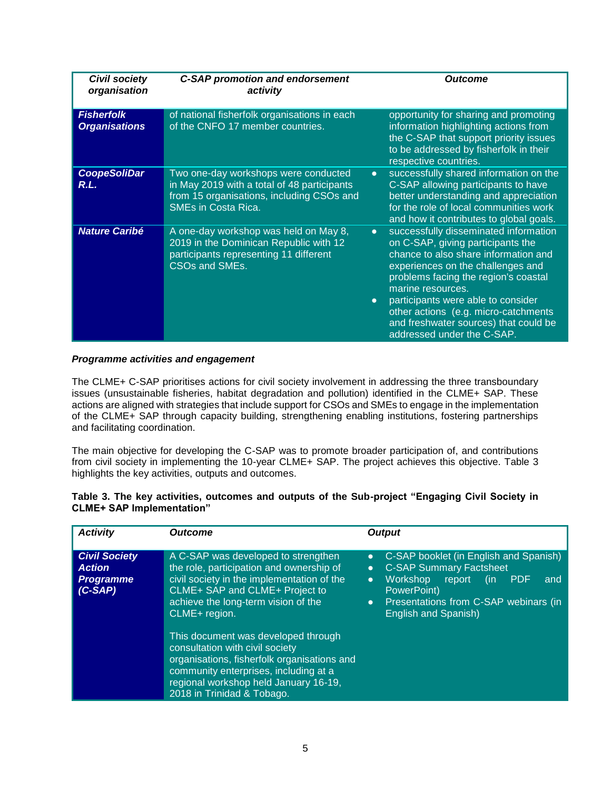| <b>Civil society</b><br>organisation      | <b>C-SAP promotion and endorsement</b><br>activity                                                                                                             | Outcome                                                                                                                                                                                                                                                                                                                                                                                             |
|-------------------------------------------|----------------------------------------------------------------------------------------------------------------------------------------------------------------|-----------------------------------------------------------------------------------------------------------------------------------------------------------------------------------------------------------------------------------------------------------------------------------------------------------------------------------------------------------------------------------------------------|
| <b>Fisherfolk</b><br><b>Organisations</b> | of national fisherfolk organisations in each<br>of the CNFO 17 member countries.                                                                               | opportunity for sharing and promoting<br>information highlighting actions from<br>the C-SAP that support priority issues<br>to be addressed by fisherfolk in their<br>respective countries.                                                                                                                                                                                                         |
| <b>CoopeSoliDar</b><br>R.L.               | Two one-day workshops were conducted<br>in May 2019 with a total of 48 participants<br>from 15 organisations, including CSOs and<br><b>SMEs in Costa Rica.</b> | successfully shared information on the<br>$\bullet$<br>C-SAP allowing participants to have<br>better understanding and appreciation<br>for the role of local communities work<br>and how it contributes to global goals.                                                                                                                                                                            |
| <b>Nature Caribé</b>                      | A one-day workshop was held on May 8,<br>2019 in the Dominican Republic with 12<br>participants representing 11 different<br>CSOs and SMEs.                    | successfully disseminated information<br>$\bullet$<br>on C-SAP, giving participants the<br>chance to also share information and<br>experiences on the challenges and<br>problems facing the region's coastal<br>marine resources.<br>participants were able to consider<br>$\bullet$<br>other actions (e.g. micro-catchments<br>and freshwater sources) that could be<br>addressed under the C-SAP. |

#### *Programme activities and engagement*

The CLME+ C-SAP prioritises actions for civil society involvement in addressing the three transboundary issues (unsustainable fisheries, habitat degradation and pollution) identified in the CLME+ SAP. These actions are aligned with strategies that include support for CSOs and SMEs to engage in the implementation of the CLME+ SAP through capacity building, strengthening enabling institutions, fostering partnerships and facilitating coordination.

The main objective for developing the C-SAP was to promote broader participation of, and contributions from civil society in implementing the 10-year CLME+ SAP. The project achieves this objective. Table 3 highlights the key activities, outputs and outcomes.

| <b>Activity</b>                                                      | <b>Outcome</b>                                                                                                                                                                                                                                                                                                                                                                                                                                                   | <b>Output</b>                                                                                                                                                                                                                                                         |
|----------------------------------------------------------------------|------------------------------------------------------------------------------------------------------------------------------------------------------------------------------------------------------------------------------------------------------------------------------------------------------------------------------------------------------------------------------------------------------------------------------------------------------------------|-----------------------------------------------------------------------------------------------------------------------------------------------------------------------------------------------------------------------------------------------------------------------|
| <b>Civil Society</b><br><b>Action</b><br><b>Programme</b><br>(C-SAP) | A C-SAP was developed to strengthen<br>the role, participation and ownership of<br>civil society in the implementation of the<br>CLME+ SAP and CLME+ Project to<br>achieve the long-term vision of the<br>CLME+ region.<br>This document was developed through<br>consultation with civil society<br>organisations, fisherfolk organisations and<br>community enterprises, including at a<br>regional workshop held January 16-19,<br>2018 in Trinidad & Tobago. | C-SAP booklet (in English and Spanish)<br>$\bullet$<br><b>C-SAP Summary Factsheet</b><br>$\bullet$<br>Workshop<br>report<br><b>PDF</b><br>(in<br>$\bullet$<br>and<br>PowerPoint)<br>Presentations from C-SAP webinars (in<br>$\bullet$<br><b>English and Spanish)</b> |

## **Table 3. The key activities, outcomes and outputs of the Sub-project "Engaging Civil Society in CLME+ SAP Implementation"**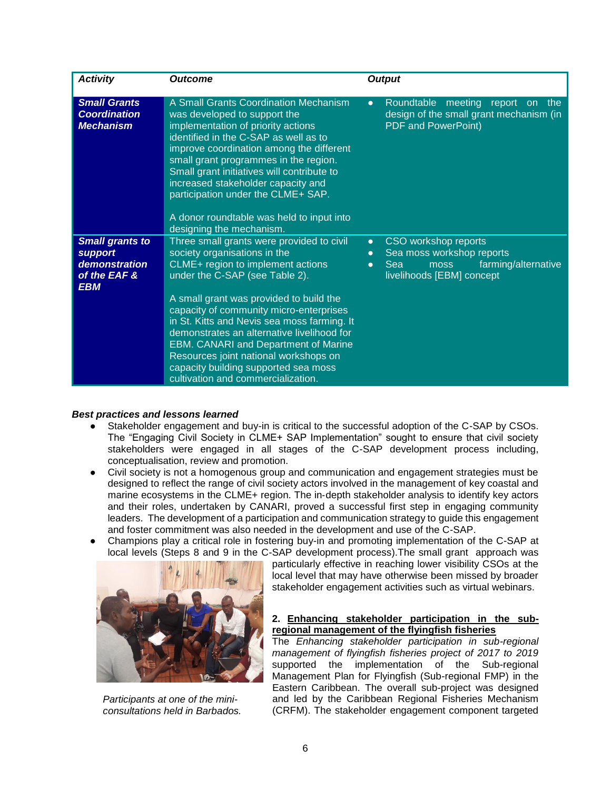| <b>Activity</b>                                                                  | <b>Outcome</b>                                                                                                                                                                                                                                                                                                                                                                                                                                                                                            | <b>Output</b>                                                                                                                                               |
|----------------------------------------------------------------------------------|-----------------------------------------------------------------------------------------------------------------------------------------------------------------------------------------------------------------------------------------------------------------------------------------------------------------------------------------------------------------------------------------------------------------------------------------------------------------------------------------------------------|-------------------------------------------------------------------------------------------------------------------------------------------------------------|
| <b>Small Grants</b><br><b>Coordination</b><br><b>Mechanism</b>                   | A Small Grants Coordination Mechanism<br>was developed to support the<br>implementation of priority actions<br>identified in the C-SAP as well as to<br>improve coordination among the different<br>small grant programmes in the region.<br>Small grant initiatives will contribute to<br>increased stakeholder capacity and<br>participation under the CLME+ SAP.<br>A donor roundtable was held to input into<br>designing the mechanism.                                                              | Roundtable meeting report on<br>the<br>$\bullet$<br>design of the small grant mechanism (in<br><b>PDF and PowerPoint)</b>                                   |
| <b>Small grants to</b><br>support<br>demonstration<br>of the EAF &<br><b>EBM</b> | Three small grants were provided to civil<br>society organisations in the<br>CLME+ region to implement actions<br>under the C-SAP (see Table 2).<br>A small grant was provided to build the<br>capacity of community micro-enterprises<br>in St. Kitts and Nevis sea moss farming. It<br>demonstrates an alternative livelihood for<br><b>EBM. CANARI and Department of Marine</b><br>Resources joint national workshops on<br>capacity building supported sea moss<br>cultivation and commercialization. | CSO workshop reports<br>$\bullet$<br>Sea moss workshop reports<br>$\bullet$<br>farming/alternative<br>Sea<br>moss<br>$\bullet$<br>livelihoods [EBM] concept |

#### *Best practices and lessons learned*

- Stakeholder engagement and buy-in is critical to the successful adoption of the C-SAP by CSOs. The "Engaging Civil Society in CLME+ SAP Implementation" sought to ensure that civil society stakeholders were engaged in all stages of the C-SAP development process including, conceptualisation, review and promotion.
- Civil society is not a homogenous group and communication and engagement strategies must be designed to reflect the range of civil society actors involved in the management of key coastal and marine ecosystems in the CLME+ region. The in‐depth stakeholder analysis to identify key actors and their roles, undertaken by CANARI, proved a successful first step in engaging community leaders. The development of a participation and communication strategy to guide this engagement and foster commitment was also needed in the development and use of the C-SAP.
- Champions play a critical role in fostering buy-in and promoting implementation of the C-SAP at local levels (Steps 8 and 9 in the C-SAP development process).The small grant approach was



*Participants at one of the miniconsultations held in Barbados.*

particularly effective in reaching lower visibility CSOs at the local level that may have otherwise been missed by broader stakeholder engagement activities such as virtual webinars.

#### **2. Enhancing stakeholder participation in the subregional management of the flyingfish fisheries**

The *Enhancing stakeholder participation in sub-regional management of flyingfish fisheries project of 2017 to 2019*  supported the implementation of the Sub-regional Management Plan for Flyingfish (Sub-regional FMP) in the Eastern Caribbean. The overall sub-project was designed and led by the Caribbean Regional Fisheries Mechanism (CRFM). The stakeholder engagement component targeted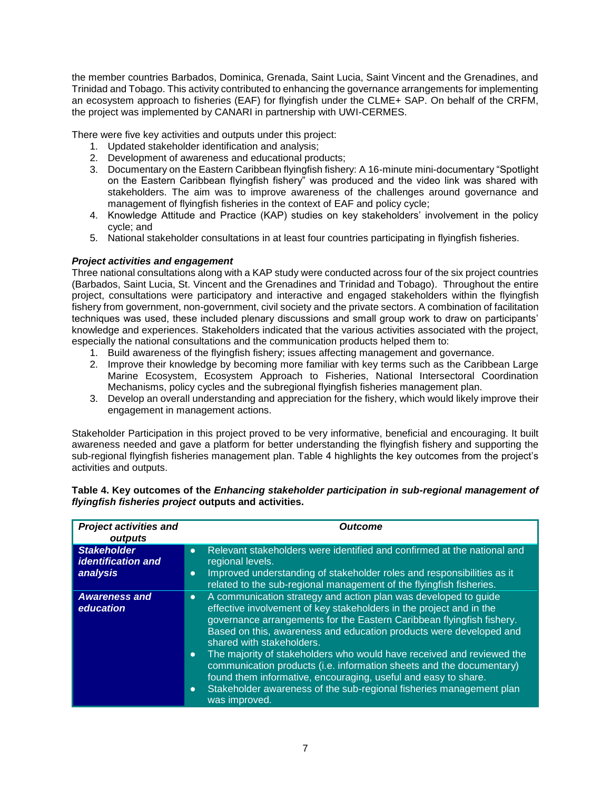the member countries Barbados, Dominica, Grenada, Saint Lucia, Saint Vincent and the Grenadines, and Trinidad and Tobago. This activity contributed to enhancing the governance arrangements for implementing an ecosystem approach to fisheries (EAF) for flyingfish under the CLME+ SAP. On behalf of the CRFM, the project was implemented by CANARI in partnership with UWI-CERMES.

There were five key activities and outputs under this project:

- 1. Updated stakeholder identification and analysis;
- 2. Development of awareness and educational products;
- 3. Documentary on the Eastern Caribbean flyingfish fishery: A 16-minute mini-documentary "Spotlight on the Eastern Caribbean flyingfish fishery" was produced and the video link was shared with stakeholders. The aim was to improve awareness of the challenges around governance and management of flyingfish fisheries in the context of EAF and policy cycle;
- 4. Knowledge Attitude and Practice (KAP) studies on key stakeholders' involvement in the policy cycle; and
- 5. National stakeholder consultations in at least four countries participating in flyingfish fisheries.

# *Project activities and engagement*

Three national consultations along with a KAP study were conducted across four of the six project countries (Barbados, Saint Lucia, St. Vincent and the Grenadines and Trinidad and Tobago). Throughout the entire project, consultations were participatory and interactive and engaged stakeholders within the flyingfish fishery from government, non-government, civil society and the private sectors. A combination of facilitation techniques was used, these included plenary discussions and small group work to draw on participants' knowledge and experiences. Stakeholders indicated that the various activities associated with the project, especially the national consultations and the communication products helped them to:

- 1. Build awareness of the flyingfish fishery; issues affecting management and governance.
- 2. Improve their knowledge by becoming more familiar with key terms such as the Caribbean Large Marine Ecosystem, Ecosystem Approach to Fisheries, National Intersectoral Coordination Mechanisms, policy cycles and the subregional flyingfish fisheries management plan.
- 3. Develop an overall understanding and appreciation for the fishery, which would likely improve their engagement in management actions.

Stakeholder Participation in this project proved to be very informative, beneficial and encouraging. It built awareness needed and gave a platform for better understanding the flyingfish fishery and supporting the sub-regional flyingfish fisheries management plan. Table 4 highlights the key outcomes from the project's activities and outputs.

| flyingfish fisheries project outputs and activities. |                |  |
|------------------------------------------------------|----------------|--|
| <b>Project activities and</b>                        | <b>Outcome</b> |  |
| outputs                                              |                |  |

| Table 4. Key outcomes of the Enhancing stakeholder participation in sub-regional management of |  |
|------------------------------------------------------------------------------------------------|--|
| flyingfish fisheries project outputs and activities.                                           |  |

| <u>FIUGULALUVIUGS AIIU</u><br>outputs                       | vultullit                                                                                                                                                                                                                                                                                                                                                                                                                                                                                                                                                                                                                                                                        |
|-------------------------------------------------------------|----------------------------------------------------------------------------------------------------------------------------------------------------------------------------------------------------------------------------------------------------------------------------------------------------------------------------------------------------------------------------------------------------------------------------------------------------------------------------------------------------------------------------------------------------------------------------------------------------------------------------------------------------------------------------------|
| <b>Stakeholder</b><br><b>identification and</b><br>analysis | Relevant stakeholders were identified and confirmed at the national and<br>$\bullet$<br>regional levels.<br>Improved understanding of stakeholder roles and responsibilities as it<br>$\bullet$<br>related to the sub-regional management of the flyingfish fisheries.                                                                                                                                                                                                                                                                                                                                                                                                           |
| <b>Awareness and</b><br>education                           | A communication strategy and action plan was developed to guide<br>$\boldsymbol{\sigma}$<br>effective involvement of key stakeholders in the project and in the<br>governance arrangements for the Eastern Caribbean flyingfish fishery.<br>Based on this, awareness and education products were developed and<br>shared with stakeholders.<br>The majority of stakeholders who would have received and reviewed the<br>$\bullet$<br>communication products (i.e. information sheets and the documentary)<br>found them informative, encouraging, useful and easy to share.<br>Stakeholder awareness of the sub-regional fisheries management plan<br>$\bullet$<br>was improved. |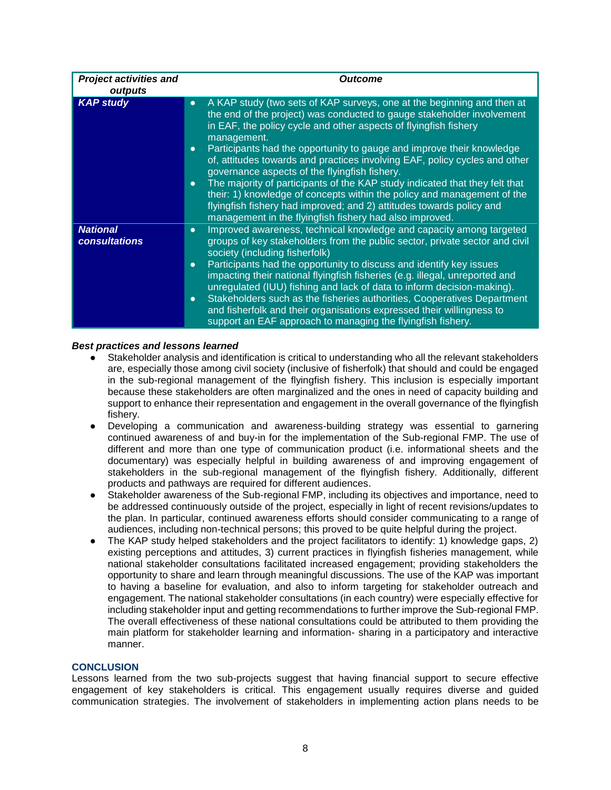| <b>Project activities and</b><br>outputs | <b>Outcome</b>                                                                                                                                                                                                                                                                                                                                                                                                                                                                                                                                                                                                                                                                                                                                                                  |
|------------------------------------------|---------------------------------------------------------------------------------------------------------------------------------------------------------------------------------------------------------------------------------------------------------------------------------------------------------------------------------------------------------------------------------------------------------------------------------------------------------------------------------------------------------------------------------------------------------------------------------------------------------------------------------------------------------------------------------------------------------------------------------------------------------------------------------|
| <b>KAP study</b>                         | A KAP study (two sets of KAP surveys, one at the beginning and then at<br>$\bullet$<br>the end of the project) was conducted to gauge stakeholder involvement<br>in EAF, the policy cycle and other aspects of flyingfish fishery<br>management.<br>Participants had the opportunity to gauge and improve their knowledge<br>$\bullet$<br>of, attitudes towards and practices involving EAF, policy cycles and other<br>governance aspects of the flyingfish fishery.<br>The majority of participants of the KAP study indicated that they felt that<br>$\bullet$<br>their: 1) knowledge of concepts within the policy and management of the<br>flyingfish fishery had improved; and 2) attitudes towards policy and<br>management in the flyingfish fishery had also improved. |
| <b>National</b><br><b>consultations</b>  | Improved awareness, technical knowledge and capacity among targeted<br>$\bullet$<br>groups of key stakeholders from the public sector, private sector and civil<br>society (including fisherfolk)<br>Participants had the opportunity to discuss and identify key issues<br>$\bullet$<br>impacting their national flyingfish fisheries (e.g. illegal, unreported and<br>unregulated (IUU) fishing and lack of data to inform decision-making).<br>Stakeholders such as the fisheries authorities, Cooperatives Department<br>$\bullet$<br>and fisherfolk and their organisations expressed their willingness to<br>support an EAF approach to managing the flyingfish fishery.                                                                                                  |

#### *Best practices and lessons learned*

- Stakeholder analysis and identification is critical to understanding who all the relevant stakeholders are, especially those among civil society (inclusive of fisherfolk) that should and could be engaged in the sub-regional management of the flyingfish fishery. This inclusion is especially important because these stakeholders are often marginalized and the ones in need of capacity building and support to enhance their representation and engagement in the overall governance of the flyingfish fishery.
- Developing a communication and awareness-building strategy was essential to garnering continued awareness of and buy-in for the implementation of the Sub-regional FMP. The use of different and more than one type of communication product (i.e. informational sheets and the documentary) was especially helpful in building awareness of and improving engagement of stakeholders in the sub-regional management of the flyingfish fishery. Additionally, different products and pathways are required for different audiences.
- Stakeholder awareness of the Sub-regional FMP, including its objectives and importance, need to be addressed continuously outside of the project, especially in light of recent revisions/updates to the plan. In particular, continued awareness efforts should consider communicating to a range of audiences, including non-technical persons; this proved to be quite helpful during the project.
- The KAP study helped stakeholders and the project facilitators to identify: 1) knowledge gaps, 2) existing perceptions and attitudes, 3) current practices in flyingfish fisheries management, while national stakeholder consultations facilitated increased engagement; providing stakeholders the opportunity to share and learn through meaningful discussions. The use of the KAP was important to having a baseline for evaluation, and also to inform targeting for stakeholder outreach and engagement. The national stakeholder consultations (in each country) were especially effective for including stakeholder input and getting recommendations to further improve the Sub-regional FMP. The overall effectiveness of these national consultations could be attributed to them providing the main platform for stakeholder learning and information- sharing in a participatory and interactive manner.

#### **CONCLUSION**

Lessons learned from the two sub-projects suggest that having financial support to secure effective engagement of key stakeholders is critical. This engagement usually requires diverse and guided communication strategies. The involvement of stakeholders in implementing action plans needs to be